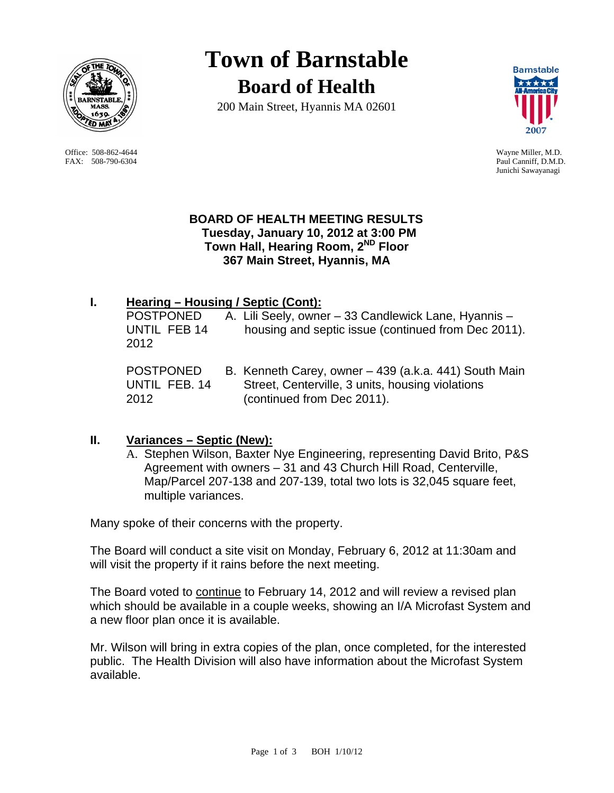

 Office: 508-862-4644 Wayne Miller, M.D. FAX: 508-790-6304 Paul Canniff, D.M.D.

# **Town of Barnstable Board of Health**

200 Main Street, Hyannis MA 02601



Junichi Sawayanagi

#### **BOARD OF HEALTH MEETING RESULTS Tuesday, January 10, 2012 at 3:00 PM Town Hall, Hearing Room, 2ND Floor 367 Main Street, Hyannis, MA**

# **I. Hearing – Housing / Septic (Cont):**

POSTPONED A. Lili Seely, owner - 33 Candlewick Lane, Hyannis -UNTIL FEB 14 housing and septic issue (continued from Dec 2011). 2012

POSTPONED B. Kenneth Carey, owner – 439 (a.k.a. 441) South Main UNTIL FEB. 14 Street, Centerville, 3 units, housing violations 2012 (continued from Dec 2011).

## **II. Variances – Septic (New):**

A. Stephen Wilson, Baxter Nye Engineering, representing David Brito, P&S Agreement with owners – 31 and 43 Church Hill Road, Centerville, Map/Parcel 207-138 and 207-139, total two lots is 32,045 square feet, multiple variances.

Many spoke of their concerns with the property.

The Board will conduct a site visit on Monday, February 6, 2012 at 11:30am and will visit the property if it rains before the next meeting.

The Board voted to continue to February 14, 2012 and will review a revised plan which should be available in a couple weeks, showing an I/A Microfast System and a new floor plan once it is available.

Mr. Wilson will bring in extra copies of the plan, once completed, for the interested public. The Health Division will also have information about the Microfast System available.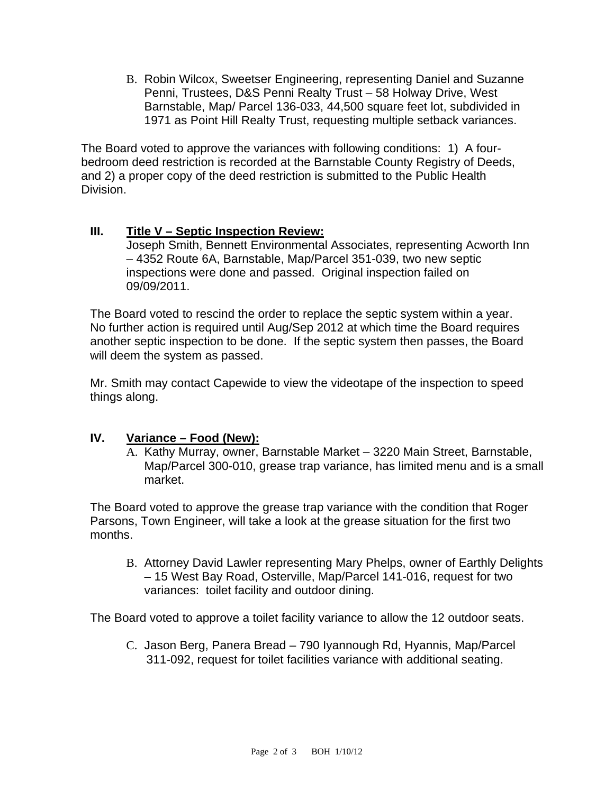B. Robin Wilcox, Sweetser Engineering, representing Daniel and Suzanne Penni, Trustees, D&S Penni Realty Trust – 58 Holway Drive, West Barnstable, Map/ Parcel 136-033, 44,500 square feet lot, subdivided in 1971 as Point Hill Realty Trust, requesting multiple setback variances.

The Board voted to approve the variances with following conditions: 1) A fourbedroom deed restriction is recorded at the Barnstable County Registry of Deeds, and 2) a proper copy of the deed restriction is submitted to the Public Health Division.

## **III. Title V – Septic Inspection Review:**

Joseph Smith, Bennett Environmental Associates, representing Acworth Inn – 4352 Route 6A, Barnstable, Map/Parcel 351-039, two new septic inspections were done and passed. Original inspection failed on 09/09/2011.

The Board voted to rescind the order to replace the septic system within a year. No further action is required until Aug/Sep 2012 at which time the Board requires another septic inspection to be done. If the septic system then passes, the Board will deem the system as passed.

Mr. Smith may contact Capewide to view the videotape of the inspection to speed things along.

#### **IV. Variance – Food (New):**

A. Kathy Murray, owner, Barnstable Market – 3220 Main Street, Barnstable, Map/Parcel 300-010, grease trap variance, has limited menu and is a small market.

The Board voted to approve the grease trap variance with the condition that Roger Parsons, Town Engineer, will take a look at the grease situation for the first two months.

B. Attorney David Lawler representing Mary Phelps, owner of Earthly Delights – 15 West Bay Road, Osterville, Map/Parcel 141-016, request for two variances: toilet facility and outdoor dining.

The Board voted to approve a toilet facility variance to allow the 12 outdoor seats.

C. Jason Berg, Panera Bread – 790 Iyannough Rd, Hyannis, Map/Parcel 311-092, request for toilet facilities variance with additional seating.